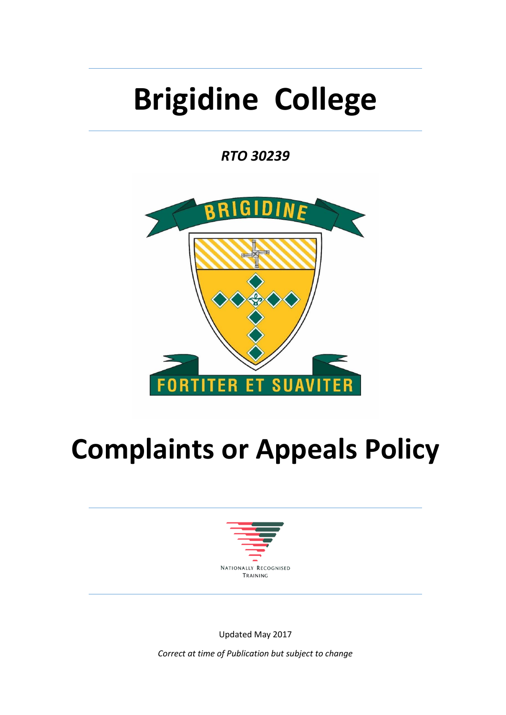# **Brigidine College**

*RTO 30239*



## **Complaints or Appeals Policy**



Updated May 2017

*Correct at time of Publication but subject to change*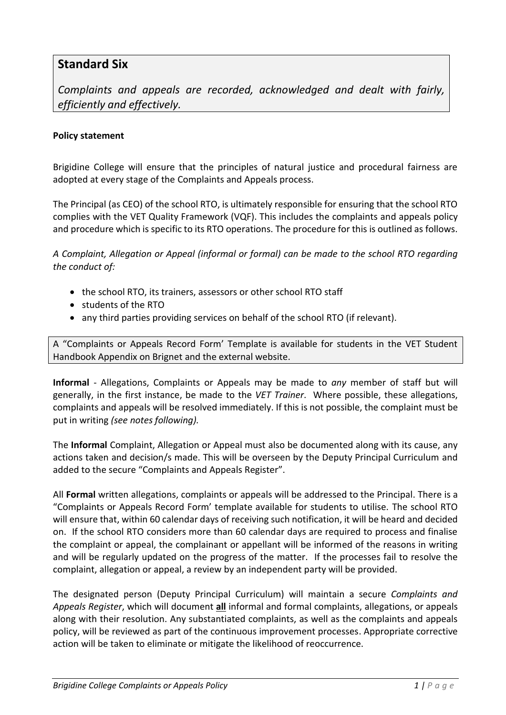#### **Standard Six**

*Complaints and appeals are recorded, acknowledged and dealt with fairly, efficiently and effectively.*

#### **Policy statement**

Brigidine College will ensure that the principles of natural justice and procedural fairness are adopted at every stage of the Complaints and Appeals process.

The Principal (as CEO) of the school RTO, is ultimately responsible for ensuring that the school RTO complies with the VET Quality Framework (VQF). This includes the complaints and appeals policy and procedure which is specific to its RTO operations. The procedure for this is outlined as follows.

*A Complaint, Allegation or Appeal (informal or formal) can be made to the school RTO regarding the conduct of:* 

- the school RTO, its trainers, assessors or other school RTO staff
- students of the RTO
- any third parties providing services on behalf of the school RTO (if relevant).

A "Complaints or Appeals Record Form' Template is available for students in the VET Student Handbook Appendix on Brignet and the external website.

**Informal** - Allegations, Complaints or Appeals may be made to *any* member of staff but will generally, in the first instance, be made to the *VET Trainer*. Where possible, these allegations, complaints and appeals will be resolved immediately. If this is not possible, the complaint must be put in writing *(see notes following).*

The **Informal** Complaint, Allegation or Appeal must also be documented along with its cause, any actions taken and decision/s made. This will be overseen by the Deputy Principal Curriculum and added to the secure "Complaints and Appeals Register".

All **Formal** written allegations, complaints or appeals will be addressed to the Principal. There is a "Complaints or Appeals Record Form' template available for students to utilise. The school RTO will ensure that, within 60 calendar days of receiving such notification, it will be heard and decided on. If the school RTO considers more than 60 calendar days are required to process and finalise the complaint or appeal, the complainant or appellant will be informed of the reasons in writing and will be regularly updated on the progress of the matter. If the processes fail to resolve the complaint, allegation or appeal, a review by an independent party will be provided.

The designated person (Deputy Principal Curriculum) will maintain a secure *Complaints and Appeals Register*, which will document **all** informal and formal complaints, allegations, or appeals along with their resolution. Any substantiated complaints, as well as the complaints and appeals policy, will be reviewed as part of the continuous improvement processes. Appropriate corrective action will be taken to eliminate or mitigate the likelihood of reoccurrence.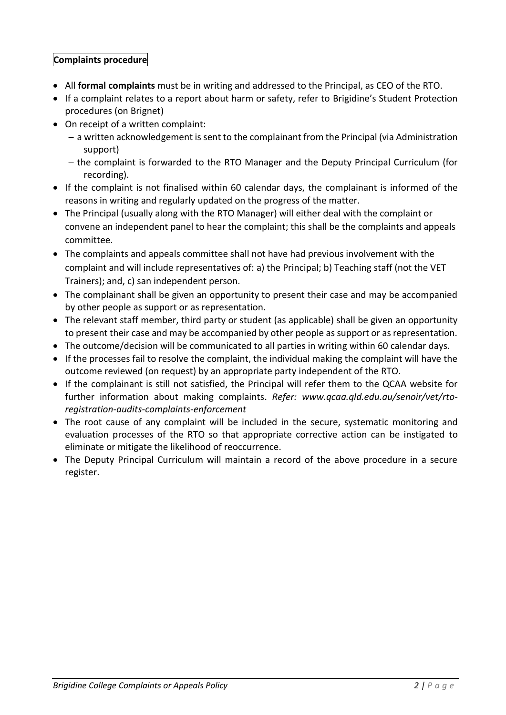#### **Complaints procedure**

- All **formal complaints** must be in writing and addressed to the Principal, as CEO of the RTO.
- If a complaint relates to a report about harm or safety, refer to Brigidine's Student Protection procedures (on Brignet)
- On receipt of a written complaint:
	- $-$  a written acknowledgement is sent to the complainant from the Principal (via Administration support)
	- the complaint is forwarded to the RTO Manager and the Deputy Principal Curriculum (for recording).
- If the complaint is not finalised within 60 calendar days, the complainant is informed of the reasons in writing and regularly updated on the progress of the matter.
- The Principal (usually along with the RTO Manager) will either deal with the complaint or convene an independent panel to hear the complaint; this shall be the complaints and appeals committee.
- The complaints and appeals committee shall not have had previous involvement with the complaint and will include representatives of: a) the Principal; b) Teaching staff (not the VET Trainers); and, c) san independent person.
- The complainant shall be given an opportunity to present their case and may be accompanied by other people as support or as representation.
- The relevant staff member, third party or student (as applicable) shall be given an opportunity to present their case and may be accompanied by other people as support or as representation.
- The outcome/decision will be communicated to all parties in writing within 60 calendar days.
- If the processes fail to resolve the complaint, the individual making the complaint will have the outcome reviewed (on request) by an appropriate party independent of the RTO.
- If the complainant is still not satisfied, the Principal will refer them to the QCAA website for further information about making complaints. *Refer: [www.qcaa.qld.edu.au/senoir/vet/rto](http://www.qcaa.qld.edu.au/senoir/vet/rto-registration-audits-complaints-enforcement)[registration-audits-complaints-enforcement](http://www.qcaa.qld.edu.au/senoir/vet/rto-registration-audits-complaints-enforcement)*
- The root cause of any complaint will be included in the secure, systematic monitoring and evaluation processes of the RTO so that appropriate corrective action can be instigated to eliminate or mitigate the likelihood of reoccurrence.
- The Deputy Principal Curriculum will maintain a record of the above procedure in a secure register.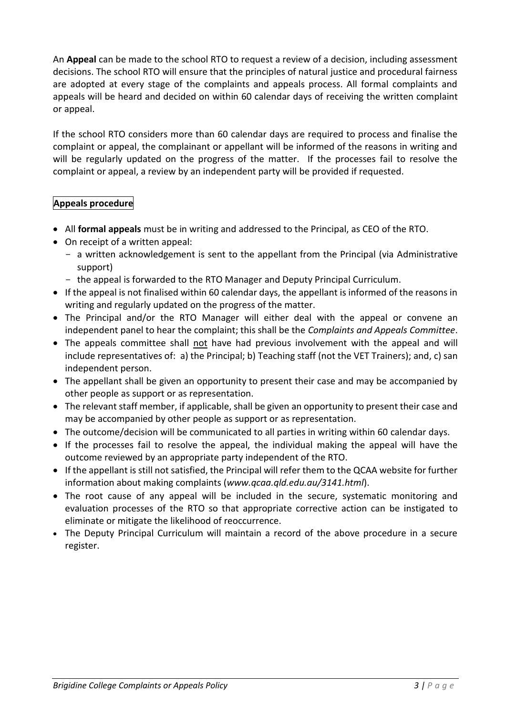An **Appeal** can be made to the school RTO to request a review of a decision, including assessment decisions. The school RTO will ensure that the principles of natural justice and procedural fairness are adopted at every stage of the complaints and appeals process. All formal complaints and appeals will be heard and decided on within 60 calendar days of receiving the written complaint or appeal.

If the school RTO considers more than 60 calendar days are required to process and finalise the complaint or appeal, the complainant or appellant will be informed of the reasons in writing and will be regularly updated on the progress of the matter. If the processes fail to resolve the complaint or appeal, a review by an independent party will be provided if requested.

#### **Appeals procedure**

- All **formal appeals** must be in writing and addressed to the Principal, as CEO of the RTO.
- On receipt of a written appeal:
	- a written acknowledgement is sent to the appellant from the Principal (via Administrative support)
	- the appeal is forwarded to the RTO Manager and Deputy Principal Curriculum.
- If the appeal is not finalised within 60 calendar days, the appellant is informed of the reasons in writing and regularly updated on the progress of the matter.
- The Principal and/or the RTO Manager will either deal with the appeal or convene an independent panel to hear the complaint; this shall be the *Complaints and Appeals Committee*.
- The appeals committee shall not have had previous involvement with the appeal and will include representatives of: a) the Principal; b) Teaching staff (not the VET Trainers); and, c) san independent person.
- The appellant shall be given an opportunity to present their case and may be accompanied by other people as support or as representation.
- The relevant staff member, if applicable, shall be given an opportunity to present their case and may be accompanied by other people as support or as representation.
- The outcome/decision will be communicated to all parties in writing within 60 calendar days.
- If the processes fail to resolve the appeal, the individual making the appeal will have the outcome reviewed by an appropriate party independent of the RTO.
- If the appellant is still not satisfied, the Principal will refer them to the QCAA website for further information about making complaints (*[www.qcaa.qld.edu.au/3141.html](http://www.qcaa.qld.edu.au/3141.html)*).
- The root cause of any appeal will be included in the secure, systematic monitoring and evaluation processes of the RTO so that appropriate corrective action can be instigated to eliminate or mitigate the likelihood of reoccurrence.
- The Deputy Principal Curriculum will maintain a record of the above procedure in a secure register.